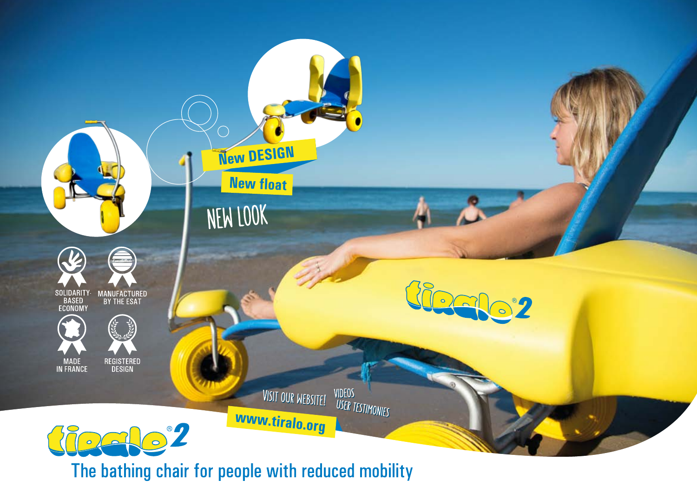

The bathing chair for people with reduced mobility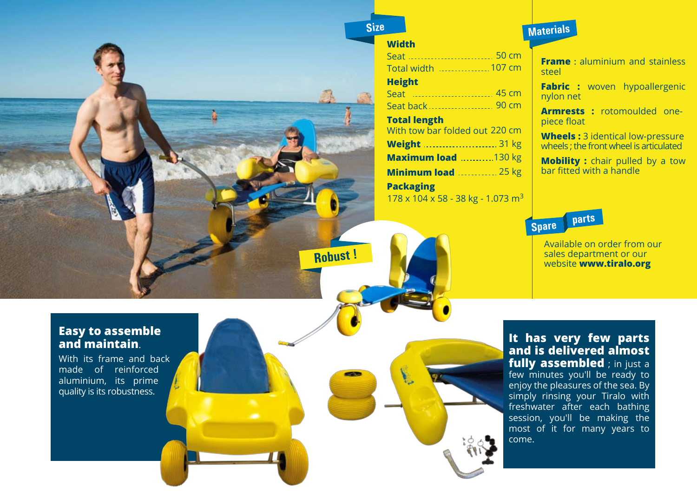![](_page_1_Picture_0.jpeg)

### **Width**

| <u>Seat  50 cm</u>                                        |
|-----------------------------------------------------------|
|                                                           |
| <b>Height</b>                                             |
| Seat  45 cm                                               |
| Seat back  90 cm                                          |
| <b>Total length</b>                                       |
| With tow bar folded out 220 cm                            |
| Weight  31 kg                                             |
| Maximum load 130 kg                                       |
| <b>Minimum load</b> 25 kg                                 |
| <b>Packaging</b>                                          |
| $178 \times 104 \times 58 - 38$ kg - 1.073 m <sup>3</sup> |

# **Materials**

**Frame**: aluminium and stainless steel

**Fabric :** woven hypoallergenic nylon net

**Armrests :** rotomoulded onepiece float

**Wheels:** 3 identical low-pressure wheels ; the front wheel is articulated

**Mobility :** chair pulled by a tow bar fitted with a handle

# **parts**

Available on order from our sales department or our **Robust !**<br> **Robust :**<br> **Robust :**<br> **Robust :**<br> **Robust :**<br> **Robust :**<br> **Robust :**<br> **Robust :**<br> **Robust :**<br> **Robust :**<br> **Robust :**<br> **Robust :**<br> **Robust :**<br> **Robust :**<br> **Robust :**<br> **Robust :**<br> **Robust :**<br> **Robust :**<br> **Robus** 

## **Easy to assemble and maintain**.

With its frame and back made of reinforced aluminium, its prime quality is its robustness.

**It has very few parts and is delivered almost fully assembled** ; in just a few minutes you'll be ready to enjoy the pleasures of the sea. By simply rinsing your Tiralo with freshwater after each bathing session, you'll be making the most of it for many years to come.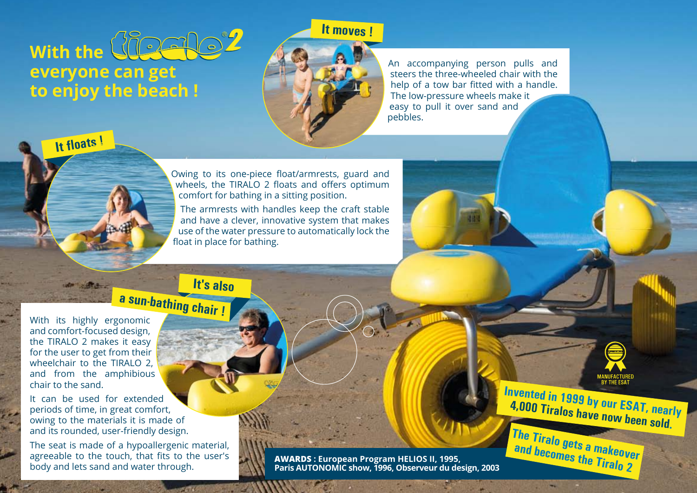![](_page_2_Picture_0.jpeg)

**It moves !**

![](_page_2_Picture_2.jpeg)

An accompanying person pulls and steers the three-wheeled chair with the help of a tow bar fitted with a handle. The low-pressure wheels make it easy to pull it over sand and pebbles.

![](_page_2_Picture_4.jpeg)

Owing to its one-piece float/armrests, guard and wheels, the TIRALO 2 floats and offers optimum comfort for bathing in a sitting position.

The armrests with handles keep the craft stable and have a clever, innovative system that makes use of the water pressure to automatically lock the float in place for bathing.

**a sun-bathing chair ! It's also** 

With its highly ergonomic and comfort-focused design, the TIRALO 2 makes it easy for the user to get from their wheelchair to the TIRALO 2, and from the amphibious chair to the sand.

It can be used for extended periods of time, in great comfort, owing to the materials it is made of and its rounded, user-friendly design.

The seat is made of a hypoallergenic material, agreeable to the touch, that fits to the user's body and lets sand and water through.

**AWARDS : European Program HELIOS II, 1995, Paris AUTONOMIC show, 1996, Observeur du design, 2003**

**Invented in 1999 by our ESAT, nearly 4,000 Tiralos have now been sold. The Tiralo gets a makeover**

**and becomes the Tiralo 2**